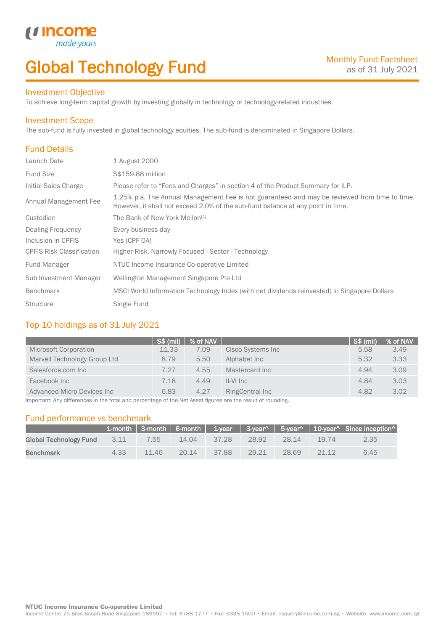# Global Technology Fund

### Investment Objective

made<sub>y</sub>

*u* incom

To achieve long-term capital growth by investing globally in technology or technology-related industries.

### Investment Scope

The sub-fund is fully invested in global technology equities. The sub-fund is denominated in Singapore Dollars.

### Fund Details

I

| Launch Date                      | 1 August 2000                                                                                                                                                                    |
|----------------------------------|----------------------------------------------------------------------------------------------------------------------------------------------------------------------------------|
| <b>Fund Size</b>                 | S\$159.88 million                                                                                                                                                                |
| Initial Sales Charge             | Please refer to "Fees and Charges" in section 4 of the Product Summary for ILP.                                                                                                  |
| Annual Management Fee            | 1.25% p.a. The Annual Management Fee is not guaranteed and may be reviewed from time to time.<br>However, it shall not exceed 2.0% of the sub-fund balance at any point in time. |
| Custodian                        | The Bank of New York Mellon <sup>[1]</sup>                                                                                                                                       |
| <b>Dealing Frequency</b>         | Every business day                                                                                                                                                               |
| Inclusion in CPFIS               | Yes (CPF OA)                                                                                                                                                                     |
| <b>CPFIS Risk Classification</b> | Higher Risk, Narrowly Focused - Sector - Technology                                                                                                                              |
| <b>Fund Manager</b>              | NTUC Income Insurance Co-operative Limited                                                                                                                                       |
| Sub Investment Manager           | Wellington Management Singapore Pte Ltd                                                                                                                                          |
| <b>Benchmark</b>                 | MSCI World Information Technology Index (with net dividends reinvested) in Singapore Dollars                                                                                     |
| <b>Structure</b>                 | Single Fund                                                                                                                                                                      |

### Top 10 holdings as of 31 July 2021

|                                    | S\$ (mil) | % of NAV |                   | S\$ (mil) | % of NAV |
|------------------------------------|-----------|----------|-------------------|-----------|----------|
| Microsoft Corporation              | 11.33     | 7.09     | Cisco Systems Inc | 5.58      | 3.49     |
| Marvell Technology Group Ltd       | 8.79      | 5.50     | Alphabet Inc      | 5.32      | 3.33     |
| Salesforce.com Inc                 | 7.27      | 4.55     | Mastercard Inc.   | 4.94      | 3.09     |
| Facebook Inc                       | 7.18      | 4.49     | II-VI Inc         | 4.84      | 3.03     |
| <b>Advanced Micro Devices Inc.</b> | 6.83      | 4.27     | RingCentral Inc   | 4.82      | 3.02     |

Important: Any differences in the total and percentage of the Net Asset figures are the result of rounding.

### Fund performance vs benchmark

|                        |      |       |       |       |       |       |       | 1-month   3-month   6-month   1-year   3-year^   5-year^   10-year^   Since inception^ |
|------------------------|------|-------|-------|-------|-------|-------|-------|----------------------------------------------------------------------------------------|
| Global Technology Fund | 3.11 | 7.55  | 14.04 | 37.28 | 28.92 | 28.14 | 19.74 | 2.35                                                                                   |
| <b>Benchmark</b>       | 4.33 | 11.46 | 20.14 | 37.88 | 29.21 | 28.69 | 21.12 | 6.45                                                                                   |